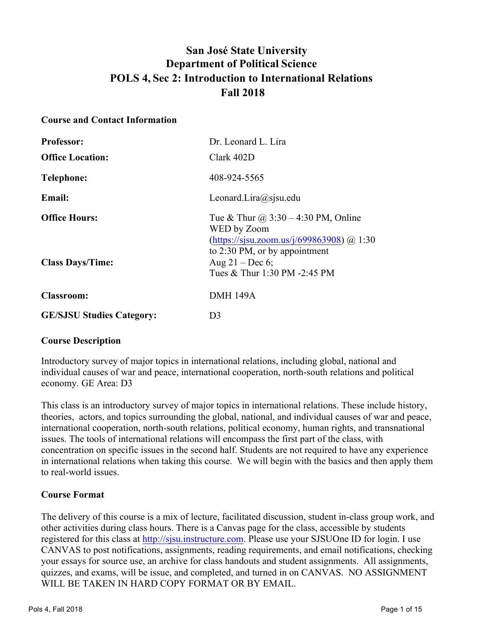# **San José State University Department of Political Science POLS 4, Sec 2: Introduction to International Relations Fall 2018**

#### **Course and Contact Information**

| <b>Professor:</b>                | Dr. Leonard L. Lira                                                                                                                     |
|----------------------------------|-----------------------------------------------------------------------------------------------------------------------------------------|
| <b>Office Location:</b>          | Clark 402D                                                                                                                              |
| Telephone:                       | 408-924-5565                                                                                                                            |
| <b>Email:</b>                    | Leonard.Lira@sjsu.edu                                                                                                                   |
| <b>Office Hours:</b>             | Tue & Thur $\omega$ 3:30 – 4:30 PM, Online<br>WED by Zoom<br>(https://sjsu.zoom.us/j/699863908) @ 1:30<br>to 2:30 PM, or by appointment |
| <b>Class Days/Time:</b>          | Aug $21 - Dec 6$ ;<br>Tues & Thur 1:30 PM -2:45 PM                                                                                      |
| <b>Classroom:</b>                | <b>DMH 149A</b>                                                                                                                         |
| <b>GE/SJSU Studies Category:</b> | D <sub>3</sub>                                                                                                                          |

#### **Course Description**

Introductory survey of major topics in international relations, including global, national and individual causes of war and peace, international cooperation, north-south relations and political economy. GE Area: D3

This class is an introductory survey of major topics in international relations. These include history, theories, actors, and topics surrounding the global, national, and individual causes of war and peace, international cooperation, north-south relations, political economy, human rights, and transnational issues. The tools of international relations will encompass the first part of the class, with concentration on specific issues in the second half. Students are not required to have any experience in international relations when taking this course. We will begin with the basics and then apply them to real-world issues.

#### **Course Format**

The delivery of this course is a mix of lecture, facilitated discussion, student in-class group work, and other activities during class hours. There is a Canvas page for the class, accessible by students registered for this class at http://sjsu.instructure.com. Please use your SJSUOne ID for login. I use CANVAS to post notifications, assignments, reading requirements, and email notifications, checking your essays for source use, an archive for class handouts and student assignments. All assignments, quizzes, and exams, will be issue, and completed, and turned in on CANVAS. NO ASSIGNMENT WILL BE TAKEN IN HARD COPY FORMAT OR BY EMAIL.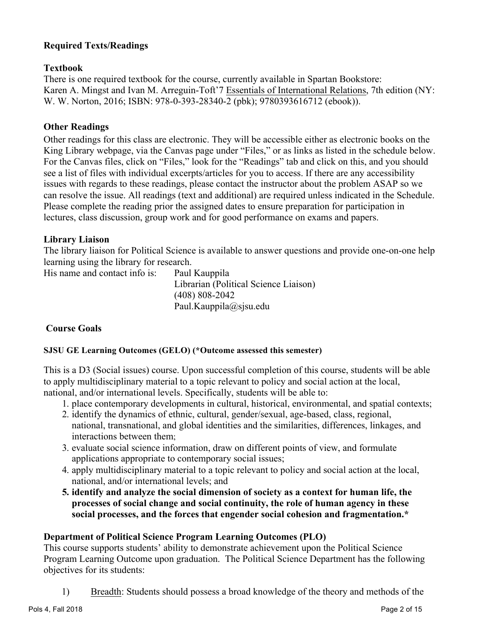# **Required Texts/Readings**

# **Textbook**

There is one required textbook for the course, currently available in Spartan Bookstore: Karen A. Mingst and Ivan M. Arreguin-Toft'7 Essentials of International Relations, 7th edition (NY: W. W. Norton, 2016; ISBN: 978-0-393-28340-2 (pbk); 9780393616712 (ebook)).

# **Other Readings**

Other readings for this class are electronic. They will be accessible either as electronic books on the King Library webpage, via the Canvas page under "Files," or as links as listed in the schedule below. For the Canvas files, click on "Files," look for the "Readings" tab and click on this, and you should see a list of files with individual excerpts/articles for you to access. If there are any accessibility issues with regards to these readings, please contact the instructor about the problem ASAP so we can resolve the issue. All readings (text and additional) are required unless indicated in the Schedule. Please complete the reading prior the assigned dates to ensure preparation for participation in lectures, class discussion, group work and for good performance on exams and papers.

#### **Library Liaison**

The library liaison for Political Science is available to answer questions and provide one-on-one help learning using the library for research.

His name and contact info is: Paul Kauppila

Librarian (Political Science Liaison) (408) 808-2042 Paul.Kauppila@sjsu.edu

# **Course Goals**

#### **SJSU GE Learning Outcomes (GELO) (\*Outcome assessed this semester)**

This is a D3 (Social issues) course. Upon successful completion of this course, students will be able to apply multidisciplinary material to a topic relevant to policy and social action at the local, national, and/or international levels. Specifically, students will be able to:

- 1. place contemporary developments in cultural, historical, environmental, and spatial contexts;
- 2. identify the dynamics of ethnic, cultural, gender/sexual, age-based, class, regional, national, transnational, and global identities and the similarities, differences, linkages, and interactions between them;
- 3. evaluate social science information, draw on different points of view, and formulate applications appropriate to contemporary social issues;
- 4. apply multidisciplinary material to a topic relevant to policy and social action at the local, national, and/or international levels; and
- **5. identify and analyze the social dimension of society as a context for human life, the processes of social change and social continuity, the role of human agency in these social processes, and the forces that engender social cohesion and fragmentation.\***

# **Department of Political Science Program Learning Outcomes (PLO)**

This course supports students' ability to demonstrate achievement upon the Political Science Program Learning Outcome upon graduation. The Political Science Department has the following objectives for its students:

1) Breadth: Students should possess a broad knowledge of the theory and methods of the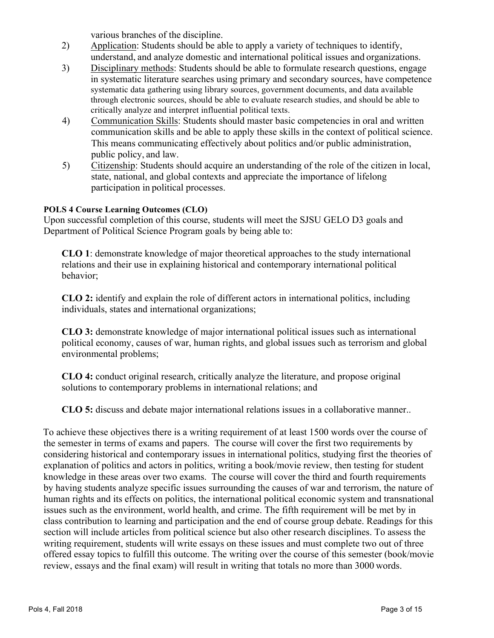various branches of the discipline.

- 2) Application: Students should be able to apply a variety of techniques to identify, understand, and analyze domestic and international political issues and organizations.
- 3) Disciplinary methods: Students should be able to formulate research questions, engage in systematic literature searches using primary and secondary sources, have competence systematic data gathering using library sources, government documents, and data available through electronic sources, should be able to evaluate research studies, and should be able to critically analyze and interpret influential political texts.
- 4) Communication Skills: Students should master basic competencies in oral and written communication skills and be able to apply these skills in the context of political science. This means communicating effectively about politics and/or public administration, public policy, and law.
- 5) Citizenship: Students should acquire an understanding of the role of the citizen in local, state, national, and global contexts and appreciate the importance of lifelong participation in political processes.

## **POLS 4 Course Learning Outcomes (CLO)**

Upon successful completion of this course, students will meet the SJSU GELO D3 goals and Department of Political Science Program goals by being able to:

**CLO 1**: demonstrate knowledge of major theoretical approaches to the study international relations and their use in explaining historical and contemporary international political behavior;

**CLO 2:** identify and explain the role of different actors in international politics, including individuals, states and international organizations;

**CLO 3:** demonstrate knowledge of major international political issues such as international political economy, causes of war, human rights, and global issues such as terrorism and global environmental problems;

**CLO 4:** conduct original research, critically analyze the literature, and propose original solutions to contemporary problems in international relations; and

**CLO 5:** discuss and debate major international relations issues in a collaborative manner..

To achieve these objectives there is a writing requirement of at least 1500 words over the course of the semester in terms of exams and papers. The course will cover the first two requirements by considering historical and contemporary issues in international politics, studying first the theories of explanation of politics and actors in politics, writing a book/movie review, then testing for student knowledge in these areas over two exams. The course will cover the third and fourth requirements by having students analyze specific issues surrounding the causes of war and terrorism, the nature of human rights and its effects on politics, the international political economic system and transnational issues such as the environment, world health, and crime. The fifth requirement will be met by in class contribution to learning and participation and the end of course group debate. Readings for this section will include articles from political science but also other research disciplines. To assess the writing requirement, students will write essays on these issues and must complete two out of three offered essay topics to fulfill this outcome. The writing over the course of this semester (book/movie review, essays and the final exam) will result in writing that totals no more than 3000 words.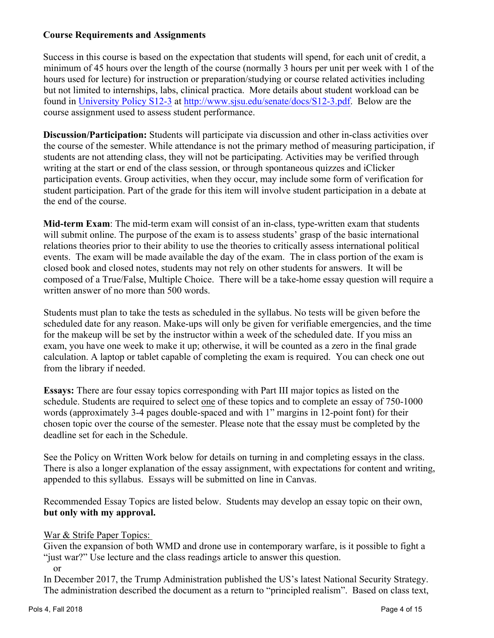# **Course Requirements and Assignments**

Success in this course is based on the expectation that students will spend, for each unit of credit, a minimum of 45 hours over the length of the course (normally 3 hours per unit per week with 1 of the hours used for lecture) for instruction or preparation/studying or course related activities including but not limited to internships, labs, clinical practica. More details about student workload can be found in University Policy S12-3 at http://www.sjsu.edu/senate/docs/S12-3.pdf. Below are the course assignment used to assess student performance.

**Discussion/Participation:** Students will participate via discussion and other in-class activities over the course of the semester. While attendance is not the primary method of measuring participation, if students are not attending class, they will not be participating. Activities may be verified through writing at the start or end of the class session, or through spontaneous quizzes and iClicker participation events. Group activities, when they occur, may include some form of verification for student participation. Part of the grade for this item will involve student participation in a debate at the end of the course.

**Mid-term Exam**: The mid-term exam will consist of an in-class, type-written exam that students will submit online. The purpose of the exam is to assess students' grasp of the basic international relations theories prior to their ability to use the theories to critically assess international political events. The exam will be made available the day of the exam. The in class portion of the exam is closed book and closed notes, students may not rely on other students for answers. It will be composed of a True/False, Multiple Choice. There will be a take-home essay question will require a written answer of no more than 500 words.

Students must plan to take the tests as scheduled in the syllabus. No tests will be given before the scheduled date for any reason. Make-ups will only be given for verifiable emergencies, and the time for the makeup will be set by the instructor within a week of the scheduled date. If you miss an exam, you have one week to make it up; otherwise, it will be counted as a zero in the final grade calculation. A laptop or tablet capable of completing the exam is required. You can check one out from the library if needed.

**Essays:** There are four essay topics corresponding with Part III major topics as listed on the schedule. Students are required to select one of these topics and to complete an essay of 750-1000 words (approximately 3-4 pages double-spaced and with 1" margins in 12-point font) for their chosen topic over the course of the semester. Please note that the essay must be completed by the deadline set for each in the Schedule.

See the Policy on Written Work below for details on turning in and completing essays in the class. There is also a longer explanation of the essay assignment, with expectations for content and writing, appended to this syllabus. Essays will be submitted on line in Canvas.

Recommended Essay Topics are listed below. Students may develop an essay topic on their own, **but only with my approval.**

#### War & Strife Paper Topics:

Given the expansion of both WMD and drone use in contemporary warfare, is it possible to fight a "just war?" Use lecture and the class readings article to answer this question.

or

In December 2017, the Trump Administration published the US's latest National Security Strategy. The administration described the document as a return to "principled realism". Based on class text,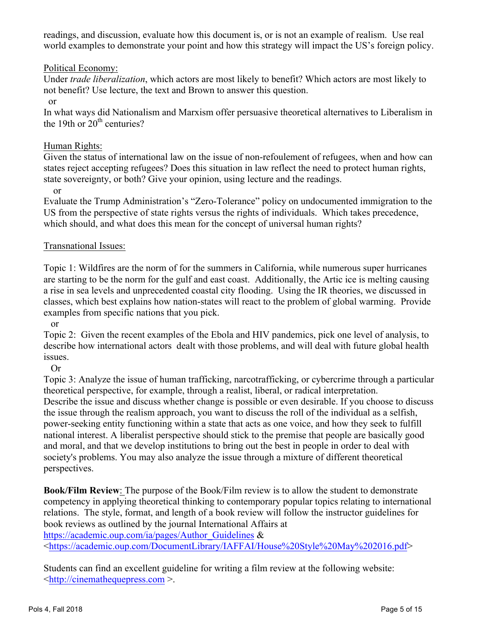readings, and discussion, evaluate how this document is, or is not an example of realism. Use real world examples to demonstrate your point and how this strategy will impact the US's foreign policy.

# Political Economy:

Under *trade liberalization*, which actors are most likely to benefit? Which actors are most likely to not benefit? Use lecture, the text and Brown to answer this question.

or

In what ways did Nationalism and Marxism offer persuasive theoretical alternatives to Liberalism in the 19th or  $20<sup>th</sup>$  centuries?

#### Human Rights:

Given the status of international law on the issue of non-refoulement of refugees, when and how can states reject accepting refugees? Does this situation in law reflect the need to protect human rights, state sovereignty, or both? Give your opinion, using lecture and the readings.

or

Evaluate the Trump Administration's "Zero-Tolerance" policy on undocumented immigration to the US from the perspective of state rights versus the rights of individuals. Which takes precedence, which should, and what does this mean for the concept of universal human rights?

## Transnational Issues:

Topic 1: Wildfires are the norm of for the summers in California, while numerous super hurricanes are starting to be the norm for the gulf and east coast. Additionally, the Artic ice is melting causing a rise in sea levels and unprecedented coastal city flooding. Using the IR theories, we discussed in classes, which best explains how nation-states will react to the problem of global warming. Provide examples from specific nations that you pick.

or

Topic 2: Given the recent examples of the Ebola and HIV pandemics, pick one level of analysis, to describe how international actors dealt with those problems, and will deal with future global health issues.

Or

Topic 3: Analyze the issue of human trafficking, narcotrafficking, or cybercrime through a particular theoretical perspective, for example, through a realist, liberal, or radical interpretation. Describe the issue and discuss whether change is possible or even desirable. If you choose to discuss the issue through the realism approach, you want to discuss the roll of the individual as a selfish, power-seeking entity functioning within a state that acts as one voice, and how they seek to fulfill national interest. A liberalist perspective should stick to the premise that people are basically good and moral, and that we develop institutions to bring out the best in people in order to deal with society's problems. You may also analyze the issue through a mixture of different theoretical perspectives.

**Book/Film Review**: The purpose of the Book/Film review is to allow the student to demonstrate competency in applying theoretical thinking to contemporary popular topics relating to international relations. The style, format, and length of a book review will follow the instructor guidelines for book reviews as outlined by the journal International Affairs at

https://academic.oup.com/ia/pages/Author\_Guidelines &

<https://academic.oup.com/DocumentLibrary/IAFFAI/House%20Style%20May%202016.pdf>

Students can find an excellent guideline for writing a film review at the following website: <http://cinemathequepress.com >.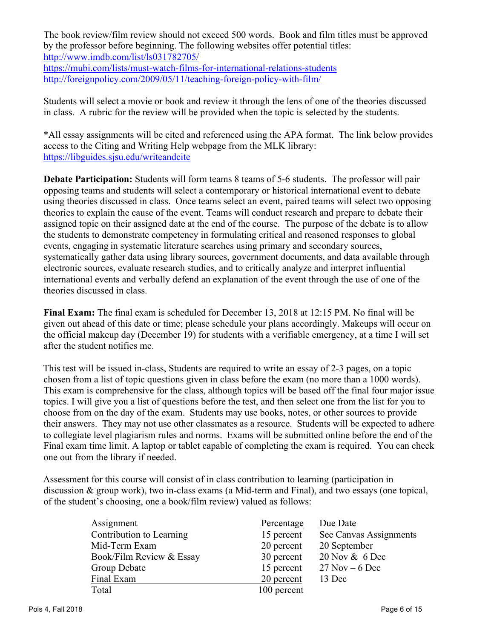The book review/film review should not exceed 500 words. Book and film titles must be approved by the professor before beginning. The following websites offer potential titles: http://www.imdb.com/list/ls031782705/ https://mubi.com/lists/must-watch-films-for-international-relations-students http://foreignpolicy.com/2009/05/11/teaching-foreign-policy-with-film/

Students will select a movie or book and review it through the lens of one of the theories discussed in class. A rubric for the review will be provided when the topic is selected by the students.

\*All essay assignments will be cited and referenced using the APA format. The link below provides access to the Citing and Writing Help webpage from the MLK library: https://libguides.sjsu.edu/writeandcite

**Debate Participation:** Students will form teams 8 teams of 5-6 students. The professor will pair opposing teams and students will select a contemporary or historical international event to debate using theories discussed in class. Once teams select an event, paired teams will select two opposing theories to explain the cause of the event. Teams will conduct research and prepare to debate their assigned topic on their assigned date at the end of the course. The purpose of the debate is to allow the students to demonstrate competency in formulating critical and reasoned responses to global events, engaging in systematic literature searches using primary and secondary sources, systematically gather data using library sources, government documents, and data available through electronic sources, evaluate research studies, and to critically analyze and interpret influential international events and verbally defend an explanation of the event through the use of one of the theories discussed in class.

**Final Exam:** The final exam is scheduled for December 13, 2018 at 12:15 PM. No final will be given out ahead of this date or time; please schedule your plans accordingly. Makeups will occur on the official makeup day (December 19) for students with a verifiable emergency, at a time I will set after the student notifies me.

This test will be issued in-class, Students are required to write an essay of 2-3 pages, on a topic chosen from a list of topic questions given in class before the exam (no more than a 1000 words). This exam is comprehensive for the class, although topics will be based off the final four major issue topics. I will give you a list of questions before the test, and then select one from the list for you to choose from on the day of the exam. Students may use books, notes, or other sources to provide their answers. They may not use other classmates as a resource. Students will be expected to adhere to collegiate level plagiarism rules and norms. Exams will be submitted online before the end of the Final exam time limit. A laptop or tablet capable of completing the exam is required. You can check one out from the library if needed.

Assessment for this course will consist of in class contribution to learning (participation in discussion & group work), two in-class exams (a Mid-term and Final), and two essays (one topical, of the student's choosing, one a book/film review) valued as follows:

| Assignment               | Percentage  | Due Date               |
|--------------------------|-------------|------------------------|
| Contribution to Learning | 15 percent  | See Canvas Assignments |
| Mid-Term Exam            | 20 percent  | 20 September           |
| Book/Film Review & Essay | 30 percent  | 20 Nov & 6 Dec         |
| Group Debate             | 15 percent  | $27$ Nov – 6 Dec       |
| Final Exam               | 20 percent  | 13 Dec                 |
| Total                    | 100 percent |                        |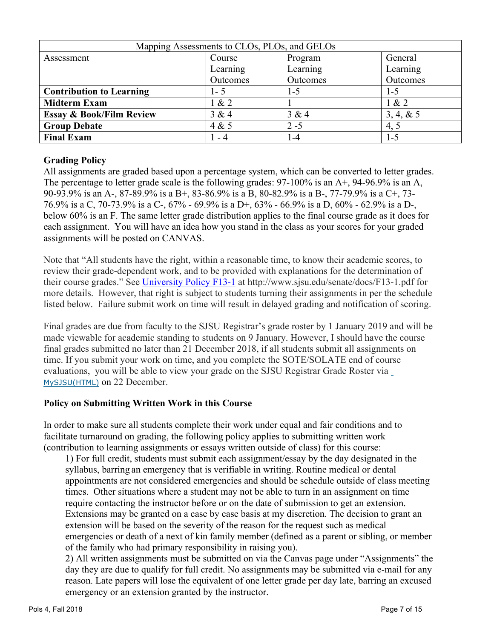| Mapping Assessments to CLOs, PLOs, and GELOs |          |          |            |
|----------------------------------------------|----------|----------|------------|
| Assessment                                   | Course   | Program  | General    |
|                                              | Learning | Learning | Learning   |
|                                              | Outcomes | Outcomes | Outcomes   |
| <b>Contribution to Learning</b>              | 1 - 5    | $1 - 5$  | 1-5        |
| <b>Midterm Exam</b>                          | 1 & 2    |          | 1 & 2      |
| <b>Essay &amp; Book/Film Review</b>          | 3 & 4    | 3 & 4    | 3, 4, 8, 5 |
| <b>Group Debate</b>                          | 4 & 5    | $2 - 5$  | 4, 5       |
| <b>Final Exam</b>                            | - 4      | -4       | 1-5        |

# **Grading Policy**

All assignments are graded based upon a percentage system, which can be converted to letter grades. The percentage to letter grade scale is the following grades: 97-100% is an A+, 94-96.9% is an A, 90-93.9% is an A-, 87-89.9% is a B+, 83-86.9% is a B, 80-82.9% is a B-, 77-79.9% is a C+, 73- 76.9% is a C, 70-73.9% is a C-, 67% - 69.9% is a D+, 63% - 66.9% is a D, 60% - 62.9% is a D-, below 60% is an F. The same letter grade distribution applies to the final course grade as it does for each assignment. You will have an idea how you stand in the class as your scores for your graded assignments will be posted on CANVAS.

Note that "All students have the right, within a reasonable time, to know their academic scores, to review their grade-dependent work, and to be provided with explanations for the determination of their course grades." See University Policy F13-1 at http://www.sjsu.edu/senate/docs/F13-1.pdf for more details. However, that right is subject to students turning their assignments in per the schedule listed below. Failure submit work on time will result in delayed grading and notification of scoring.

Final grades are due from faculty to the SJSU Registrar's grade roster by 1 January 2019 and will be made viewable for academic standing to students on 9 January. However, I should have the course final grades submitted no later than 21 December 2018, if all students submit all assignments on time. If you submit your work on time, and you complete the SOTE/SOLATE end of course evaluations, you will be able to view your grade on the SJSU Registrar Grade Roster via MySJSU(HTML) on 22 December.

# **Policy on Submitting Written Work in this Course**

In order to make sure all students complete their work under equal and fair conditions and to facilitate turnaround on grading, the following policy applies to submitting written work (contribution to learning assignments or essays written outside of class) for this course:

1) For full credit, students must submit each assignment/essay by the day designated in the syllabus, barring an emergency that is verifiable in writing. Routine medical or dental appointments are not considered emergencies and should be schedule outside of class meeting times. Other situations where a student may not be able to turn in an assignment on time require contacting the instructor before or on the date of submission to get an extension. Extensions may be granted on a case by case basis at my discretion. The decision to grant an extension will be based on the severity of the reason for the request such as medical emergencies or death of a next of kin family member (defined as a parent or sibling, or member of the family who had primary responsibility in raising you).

2) All written assignments must be submitted on via the Canvas page under "Assignments" the day they are due to qualify for full credit. No assignments may be submitted via e-mail for any reason. Late papers will lose the equivalent of one letter grade per day late, barring an excused emergency or an extension granted by the instructor.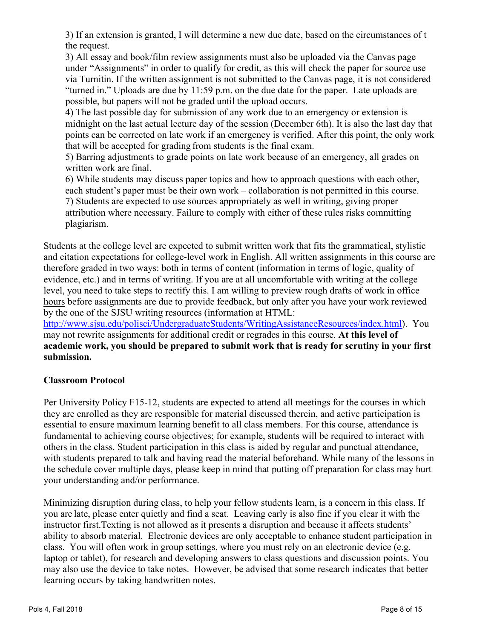3) If an extension is granted, I will determine a new due date, based on the circumstances of t the request.

3) All essay and book/film review assignments must also be uploaded via the Canvas page under "Assignments" in order to qualify for credit, as this will check the paper for source use via Turnitin. If the written assignment is not submitted to the Canvas page, it is not considered "turned in." Uploads are due by 11:59 p.m. on the due date for the paper. Late uploads are possible, but papers will not be graded until the upload occurs.

4) The last possible day for submission of any work due to an emergency or extension is midnight on the last actual lecture day of the session (December 6th). It is also the last day that points can be corrected on late work if an emergency is verified. After this point, the only work that will be accepted for grading from students is the final exam.

5) Barring adjustments to grade points on late work because of an emergency, all grades on written work are final.

6) While students may discuss paper topics and how to approach questions with each other, each student's paper must be their own work – collaboration is not permitted in this course. 7) Students are expected to use sources appropriately as well in writing, giving proper attribution where necessary. Failure to comply with either of these rules risks committing plagiarism.

Students at the college level are expected to submit written work that fits the grammatical, stylistic and citation expectations for college-level work in English. All written assignments in this course are therefore graded in two ways: both in terms of content (information in terms of logic, quality of evidence, etc.) and in terms of writing. If you are at all uncomfortable with writing at the college level, you need to take steps to rectify this. I am willing to preview rough drafts of work in office hours before assignments are due to provide feedback, but only after you have your work reviewed by the one of the SJSU writing resources (information at HTML:

http://www.sjsu.edu/polisci/UndergraduateStudents/WritingAssistanceResources/index.html). You may not rewrite assignments for additional credit or regrades in this course. **At this level of academic work, you should be prepared to submit work that is ready for scrutiny in your first submission.**

# **Classroom Protocol**

Per University Policy F15-12, students are expected to attend all meetings for the courses in which they are enrolled as they are responsible for material discussed therein, and active participation is essential to ensure maximum learning benefit to all class members. For this course, attendance is fundamental to achieving course objectives; for example, students will be required to interact with others in the class. Student participation in this class is aided by regular and punctual attendance, with students prepared to talk and having read the material beforehand. While many of the lessons in the schedule cover multiple days, please keep in mind that putting off preparation for class may hurt your understanding and/or performance.

Minimizing disruption during class, to help your fellow students learn, is a concern in this class. If you are late, please enter quietly and find a seat. Leaving early is also fine if you clear it with the instructor first.Texting is not allowed as it presents a disruption and because it affects students' ability to absorb material. Electronic devices are only acceptable to enhance student participation in class. You will often work in group settings, where you must rely on an electronic device (e.g. laptop or tablet), for research and developing answers to class questions and discussion points. You may also use the device to take notes. However, be advised that some research indicates that better learning occurs by taking handwritten notes.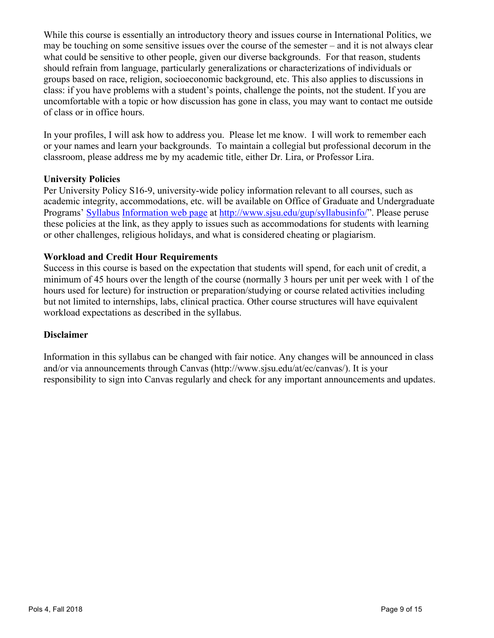While this course is essentially an introductory theory and issues course in International Politics, we may be touching on some sensitive issues over the course of the semester – and it is not always clear what could be sensitive to other people, given our diverse backgrounds. For that reason, students should refrain from language, particularly generalizations or characterizations of individuals or groups based on race, religion, socioeconomic background, etc. This also applies to discussions in class: if you have problems with a student's points, challenge the points, not the student. If you are uncomfortable with a topic or how discussion has gone in class, you may want to contact me outside of class or in office hours.

In your profiles, I will ask how to address you. Please let me know. I will work to remember each or your names and learn your backgrounds. To maintain a collegial but professional decorum in the classroom, please address me by my academic title, either Dr. Lira, or Professor Lira.

#### **University Policies**

Per University Policy S16-9, university-wide policy information relevant to all courses, such as academic integrity, accommodations, etc. will be available on Office of Graduate and Undergraduate Programs' Syllabus Information web page at http://www.sjsu.edu/gup/syllabusinfo/". Please peruse these policies at the link, as they apply to issues such as accommodations for students with learning or other challenges, religious holidays, and what is considered cheating or plagiarism.

## **Workload and Credit Hour Requirements**

Success in this course is based on the expectation that students will spend, for each unit of credit, a minimum of 45 hours over the length of the course (normally 3 hours per unit per week with 1 of the hours used for lecture) for instruction or preparation/studying or course related activities including but not limited to internships, labs, clinical practica. Other course structures will have equivalent workload expectations as described in the syllabus.

#### **Disclaimer**

Information in this syllabus can be changed with fair notice. Any changes will be announced in class and/or via announcements through Canvas (http://www.sjsu.edu/at/ec/canvas/). It is your responsibility to sign into Canvas regularly and check for any important announcements and updates.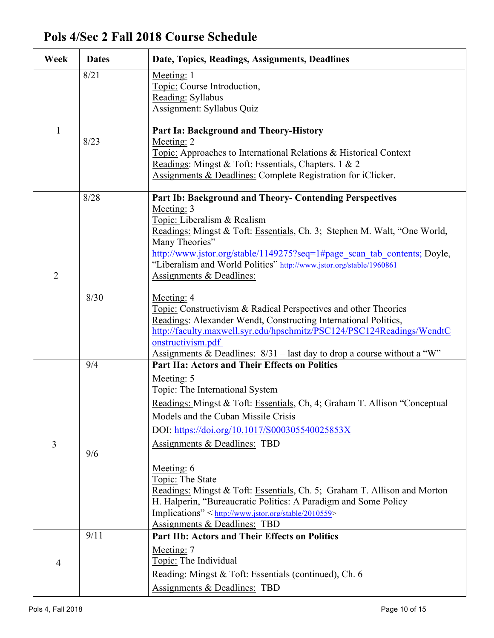# **Pols 4/Sec 2 Fall 2018 Course Schedule**

| Week           | <b>Dates</b> | Date, Topics, Readings, Assignments, Deadlines                                                                                                                                                                                                                                                                                                                                                                                                                                                                                                                                        |
|----------------|--------------|---------------------------------------------------------------------------------------------------------------------------------------------------------------------------------------------------------------------------------------------------------------------------------------------------------------------------------------------------------------------------------------------------------------------------------------------------------------------------------------------------------------------------------------------------------------------------------------|
|                | 8/21         | Meeting: 1<br>Topic: Course Introduction,<br>Reading: Syllabus<br>Assignment: Syllabus Quiz                                                                                                                                                                                                                                                                                                                                                                                                                                                                                           |
| $\mathbf{1}$   | 8/23         | Part Ia: Background and Theory-History<br>Meeting: 2<br>Topic: Approaches to International Relations & Historical Context<br>Readings: Mingst & Toft: Essentials, Chapters. 1 & 2<br>Assignments & Deadlines: Complete Registration for iClicker.                                                                                                                                                                                                                                                                                                                                     |
| $\overline{2}$ | 8/28         | Part Ib: Background and Theory- Contending Perspectives<br>Meeting: 3<br>Topic: Liberalism & Realism<br>Readings: Mingst & Toft: Essentials, Ch. 3; Stephen M. Walt, "One World,<br>Many Theories"<br>http://www.jstor.org/stable/1149275?seq=1#page scan tab contents; Doyle,<br>"Liberalism and World Politics" http://www.jstor.org/stable/1960861<br>Assignments & Deadlines:                                                                                                                                                                                                     |
|                | 8/30         | Meeting: 4<br>Topic: Constructivism & Radical Perspectives and other Theories<br>Readings: Alexander Wendt, Constructing International Politics,<br>http://faculty.maxwell.syr.edu/hpschmitz/PSC124/PSC124Readings/WendtC<br>onstructivism.pdf<br>Assignments & Deadlines: $8/31$ – last day to drop a course without a "W"                                                                                                                                                                                                                                                           |
| 3              | 9/4<br>9/6   | <b>Part IIa: Actors and Their Effects on Politics</b><br>Meeting: 5<br>Topic: The International System<br>Readings: Mingst & Toft: Essentials, Ch, 4; Graham T. Allison "Conceptual<br>Models and the Cuban Missile Crisis<br>DOI: https://doi.org/10.1017/S000305540025853X<br>Assignments & Deadlines: TBD<br>Meeting: 6<br>Topic: The State<br>Readings: Mingst & Toft: Essentials, Ch. 5; Graham T. Allison and Morton<br>H. Halperin, "Bureaucratic Politics: A Paradigm and Some Policy<br>Implications" < http://www.jstor.org/stable/2010559><br>Assignments & Deadlines: TBD |
| 4              | 9/11         | <b>Part IIb: Actors and Their Effects on Politics</b><br>Meeting: 7<br>Topic: The Individual<br>Reading: Mingst & Toft: Essentials (continued), Ch. 6<br>Assignments & Deadlines: TBD                                                                                                                                                                                                                                                                                                                                                                                                 |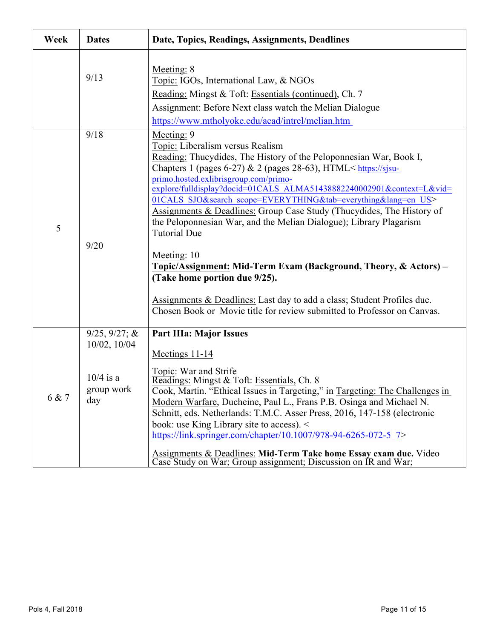| Week  | <b>Dates</b>                                                              | Date, Topics, Readings, Assignments, Deadlines                                                                                                                                                                                                                                                                                                                                                                                                                                                                                                                                                                                                                                                                                                                                                                                                                            |
|-------|---------------------------------------------------------------------------|---------------------------------------------------------------------------------------------------------------------------------------------------------------------------------------------------------------------------------------------------------------------------------------------------------------------------------------------------------------------------------------------------------------------------------------------------------------------------------------------------------------------------------------------------------------------------------------------------------------------------------------------------------------------------------------------------------------------------------------------------------------------------------------------------------------------------------------------------------------------------|
|       | 9/13                                                                      | Meeting: 8<br>Topic: IGOs, International Law, & NGOs<br>Reading: Mingst & Toft: Essentials (continued), Ch. 7<br>Assignment: Before Next class watch the Melian Dialogue<br>https://www.mtholyoke.edu/acad/intrel/melian.htm                                                                                                                                                                                                                                                                                                                                                                                                                                                                                                                                                                                                                                              |
| 5     | 9/18<br>9/20                                                              | Meeting: 9<br>Topic: Liberalism versus Realism<br>Reading: Thucydides, The History of the Peloponnesian War, Book I,<br>Chapters 1 (pages 6-27) & 2 (pages 28-63), HTML <https: sjsu-<br="">primo.hosted.exlibrisgroup.com/primo-<br/>explore/fulldisplay?docid=01CALS_ALMA51438882240002901&amp;context=L&amp;vid=<br/>01CALS SJO&amp;search scope=EVERYTHING&amp;tab=everything⟨=en US&gt;<br/>Assignments &amp; Deadlines: Group Case Study (Thucydides, The History of<br/>the Peloponnesian War, and the Melian Dialogue); Library Plagarism<br/><b>Tutorial Due</b><br/>Meeting: 10<br/>Topic/Assignment: Mid-Term Exam (Background, Theory, &amp; Actors) –<br/>(Take home portion due 9/25).<br/>Assignments &amp; Deadlines: Last day to add a class; Student Profiles due.<br/>Chosen Book or Movie title for review submitted to Professor on Canvas.</https:> |
| 6 & 7 | $9/25, 9/27; \&$<br>$10/02$ , $10/04$<br>$10/4$ is a<br>group work<br>day | <b>Part IIIa: Major Issues</b><br>Meetings 11-14<br>Topic: War and Strife<br>Readings: Mingst & Toft: Essentials, Ch. 8<br>Cook, Martin. "Ethical Issues in Targeting," in Targeting: The Challenges in<br>Modern Warfare, Ducheine, Paul L., Frans P.B. Osinga and Michael N.<br>Schnitt, eds. Netherlands: T.M.C. Asser Press, 2016, 147-158 (electronic<br>book: use King Library site to access).<br>https://link.springer.com/chapter/10.1007/978-94-6265-072-5 7><br>Assignments & Deadlines: Mid-Term Take home Essay exam due. Video<br>Case Study on War; Group assignment; Discussion on IR and War;                                                                                                                                                                                                                                                            |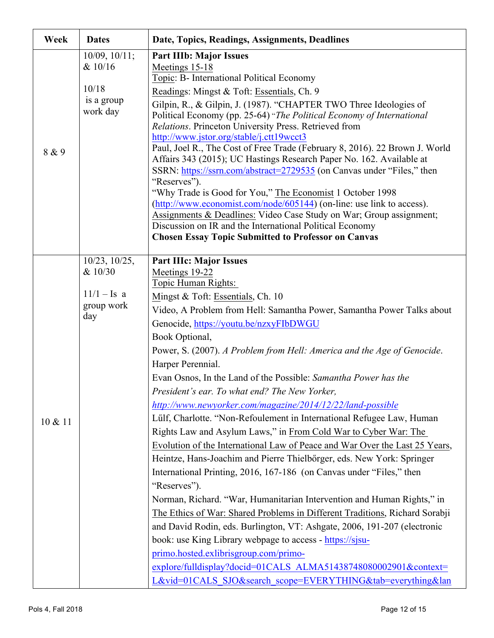| Week    | <b>Dates</b>                                                         | Date, Topics, Readings, Assignments, Deadlines                                                                                                                                                                                                                                                                                                                                                                                                                                                                                                                                                                                                                                                                                                                                                                                                                                                                                                                                                                                                                                                                                                                                                                                                                                                                                                                                                               |
|---------|----------------------------------------------------------------------|--------------------------------------------------------------------------------------------------------------------------------------------------------------------------------------------------------------------------------------------------------------------------------------------------------------------------------------------------------------------------------------------------------------------------------------------------------------------------------------------------------------------------------------------------------------------------------------------------------------------------------------------------------------------------------------------------------------------------------------------------------------------------------------------------------------------------------------------------------------------------------------------------------------------------------------------------------------------------------------------------------------------------------------------------------------------------------------------------------------------------------------------------------------------------------------------------------------------------------------------------------------------------------------------------------------------------------------------------------------------------------------------------------------|
| 8 & 9   | $10/09$ , $10/11$ ;<br>& 10/16<br>10/18<br>is a group<br>work day    | <b>Part IIIb: Major Issues</b><br>Meetings 15-18<br>Topic: B- International Political Economy<br>Readings: Mingst & Toft: Essentials, Ch. 9<br>Gilpin, R., & Gilpin, J. (1987). "CHAPTER TWO Three Ideologies of<br>Political Economy (pp. 25-64) "The Political Economy of International<br>Relations. Princeton University Press. Retrieved from<br>http://www.jstor.org/stable/j.ctt19wcct3<br>Paul, Joel R., The Cost of Free Trade (February 8, 2016). 22 Brown J. World<br>Affairs 343 (2015); UC Hastings Research Paper No. 162. Available at<br>SSRN: https://ssrn.com/abstract=2729535 (on Canvas under "Files," then<br>"Reserves").<br>"Why Trade is Good for You," The Economist 1 October 1998<br>(http://www.economist.com/node/605144) (on-line: use link to access).<br><b>Assignments &amp; Deadlines: Video Case Study on War; Group assignment;</b><br>Discussion on IR and the International Political Economy<br><b>Chosen Essay Topic Submitted to Professor on Canvas</b>                                                                                                                                                                                                                                                                                                                                                                                                            |
| 10 & 11 | $10/23$ , $10/25$ ,<br>& 10/30<br>$11/1 - Is a$<br>group work<br>day | <b>Part IIIc: Major Issues</b><br>Meetings 19-22<br>Topic Human Rights:<br>Mingst & Toft: Essentials, Ch. 10<br>Video, A Problem from Hell: Samantha Power, Samantha Power Talks about<br>Genocide, https://youtu.be/nzxyFIbDWGU<br>Book Optional,<br>Power, S. (2007). A Problem from Hell: America and the Age of Genocide.<br>Harper Perennial.<br>Evan Osnos, In the Land of the Possible: Samantha Power has the<br>President's ear. To what end? The New Yorker,<br>http://www.newyorker.com/magazine/2014/12/22/land-possible<br>Lülf, Charlotte. "Non-Refoulement in International Refugee Law, Human<br>Rights Law and Asylum Laws," in From Cold War to Cyber War: The<br>Evolution of the International Law of Peace and War Over the Last 25 Years,<br>Heintze, Hans-Joachim and Pierre Thielbőrger, eds. New York: Springer<br>International Printing, 2016, 167-186 (on Canvas under "Files," then<br>"Reserves").<br>Norman, Richard. "War, Humanitarian Intervention and Human Rights," in<br>The Ethics of War: Shared Problems in Different Traditions, Richard Sorabji<br>and David Rodin, eds. Burlington, VT: Ashgate, 2006, 191-207 (electronic<br>book: use King Library webpage to access - https://sjsu-<br>primo.hosted.exlibrisgroup.com/primo-<br>explore/fulldisplay?docid=01CALS ALMA51438748080002901&context=<br>L&vid=01CALS SJO&search scope=EVERYTHING&tab=everything&lan |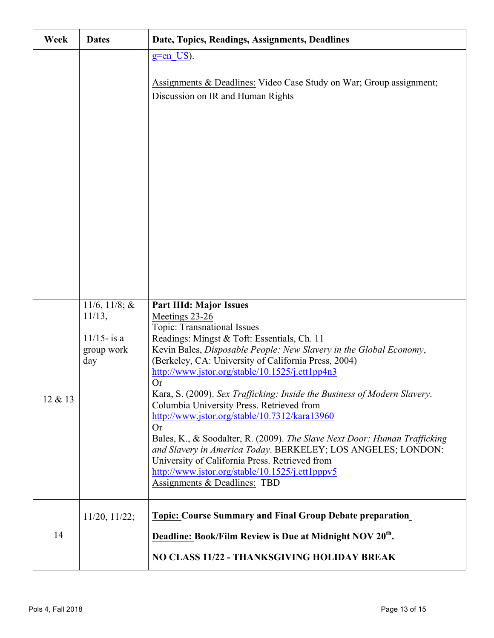| Week    | <b>Dates</b>                        | Date, Topics, Readings, Assignments, Deadlines                                                                                                                                                                                                                                              |
|---------|-------------------------------------|---------------------------------------------------------------------------------------------------------------------------------------------------------------------------------------------------------------------------------------------------------------------------------------------|
|         |                                     | $g=$ en US).                                                                                                                                                                                                                                                                                |
|         |                                     | Assignments & Deadlines: Video Case Study on War; Group assignment;<br>Discussion on IR and Human Rights                                                                                                                                                                                    |
|         |                                     |                                                                                                                                                                                                                                                                                             |
|         |                                     |                                                                                                                                                                                                                                                                                             |
|         |                                     |                                                                                                                                                                                                                                                                                             |
|         |                                     |                                                                                                                                                                                                                                                                                             |
|         | 11/6, 11/8; $&$<br>$11/13$ ,        | <b>Part IIId: Major Issues</b><br>Meetings 23-26                                                                                                                                                                                                                                            |
|         | $11/15$ - is a<br>group work<br>day | Topic: Transnational Issues<br>Readings: Mingst & Toft: Essentials, Ch. 11<br>Kevin Bales, Disposable People: New Slavery in the Global Economy,<br>(Berkeley, CA: University of California Press, 2004)<br>http://www.jstor.org/stable/10.1525/j.ctt1pp4n3                                 |
| 12 & 13 |                                     | <b>Or</b><br>Kara, S. (2009). Sex Trafficking: Inside the Business of Modern Slavery.<br>Columbia University Press. Retrieved from<br>http://www.jstor.org/stable/10.7312/kara13960                                                                                                         |
|         |                                     | <b>Or</b><br>Bales, K., & Soodalter, R. (2009). The Slave Next Door: Human Trafficking<br>and Slavery in America Today. BERKELEY; LOS ANGELES; LONDON:<br>University of California Press. Retrieved from<br>http://www.jstor.org/stable/10.1525/j.ctt1pppv5<br>Assignments & Deadlines: TBD |
|         |                                     |                                                                                                                                                                                                                                                                                             |
|         | $11/20$ , $11/22$ ;                 | <b>Topic: Course Summary and Final Group Debate preparation</b>                                                                                                                                                                                                                             |
| 14      |                                     | Deadline: Book/Film Review is Due at Midnight NOV 20 <sup>th</sup> .                                                                                                                                                                                                                        |
|         |                                     | NO CLASS 11/22 - THANKSGIVING HOLIDAY BREAK                                                                                                                                                                                                                                                 |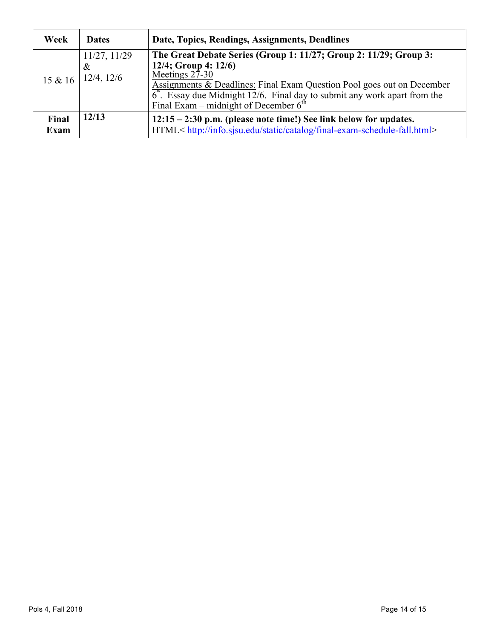| Week                 | <b>Dates</b>                            | Date, Topics, Readings, Assignments, Deadlines                                                                                                                                                                                                                                                                                  |
|----------------------|-----------------------------------------|---------------------------------------------------------------------------------------------------------------------------------------------------------------------------------------------------------------------------------------------------------------------------------------------------------------------------------|
| 15 & 16              | 11/27, 11/29<br>$\&$<br>$12/4$ , $12/6$ | The Great Debate Series (Group 1: 11/27; Group 2: 11/29; Group 3:<br>12/4; Group 4: $12/6$ )<br>Meetings $27-30$<br>Assignments & Deadlines: Final Exam Question Pool goes out on December<br>$6^{\text{th}}$ . Essay due Midnight 12/6. Final day to submit any work apart from the<br>Final Exam – midnight of December $6th$ |
| Final<br><b>Exam</b> | 12/13                                   | $12:15 - 2:30$ p.m. (please note time!) See link below for updates.<br>HTML <http: catalog="" final-exam-schedule-fall.html="" info.sjsu.edu="" static=""></http:>                                                                                                                                                              |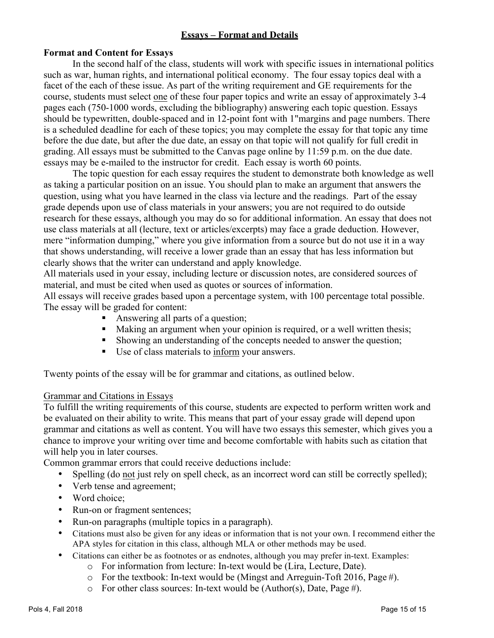# **Essays – Format and Details**

#### **Format and Content for Essays**

In the second half of the class, students will work with specific issues in international politics such as war, human rights, and international political economy. The four essay topics deal with a facet of the each of these issue. As part of the writing requirement and GE requirements for the course, students must select one of these four paper topics and write an essay of approximately 3-4 pages each (750-1000 words, excluding the bibliography) answering each topic question. Essays should be typewritten, double-spaced and in 12-point font with 1"margins and page numbers. There is a scheduled deadline for each of these topics; you may complete the essay for that topic any time before the due date, but after the due date, an essay on that topic will not qualify for full credit in grading. All essays must be submitted to the Canvas page online by 11:59 p.m. on the due date. essays may be e-mailed to the instructor for credit. Each essay is worth 60 points.

The topic question for each essay requires the student to demonstrate both knowledge as well as taking a particular position on an issue. You should plan to make an argument that answers the question, using what you have learned in the class via lecture and the readings. Part of the essay grade depends upon use of class materials in your answers; you are not required to do outside research for these essays, although you may do so for additional information. An essay that does not use class materials at all (lecture, text or articles/excerpts) may face a grade deduction. However, mere "information dumping," where you give information from a source but do not use it in a way that shows understanding, will receive a lower grade than an essay that has less information but clearly shows that the writer can understand and apply knowledge.

All materials used in your essay, including lecture or discussion notes, are considered sources of material, and must be cited when used as quotes or sources of information.

All essays will receive grades based upon a percentage system, with 100 percentage total possible. The essay will be graded for content:

- Answering all parts of a question;
- Making an argument when your opinion is required, or a well written thesis;
- Showing an understanding of the concepts needed to answer the question;
- Use of class materials to inform your answers.

Twenty points of the essay will be for grammar and citations, as outlined below.

#### Grammar and Citations in Essays

To fulfill the writing requirements of this course, students are expected to perform written work and be evaluated on their ability to write. This means that part of your essay grade will depend upon grammar and citations as well as content. You will have two essays this semester, which gives you a chance to improve your writing over time and become comfortable with habits such as citation that will help you in later courses.

Common grammar errors that could receive deductions include:

- Spelling (do not just rely on spell check, as an incorrect word can still be correctly spelled);
- Verb tense and agreement;
- Word choice:
- Run-on or fragment sentences;
- Run-on paragraphs (multiple topics in a paragraph).
- Citations must also be given for any ideas or information that is not your own. I recommend either the APA styles for citation in this class, although MLA or other methods may be used.
- Citations can either be as footnotes or as endnotes, although you may prefer in-text. Examples:
	- o For information from lecture: In-text would be (Lira, Lecture, Date).
	- o For the textbook: In-text would be (Mingst and Arreguin-Toft 2016, Page #).
	- $\circ$  For other class sources: In-text would be (Author(s), Date, Page #).